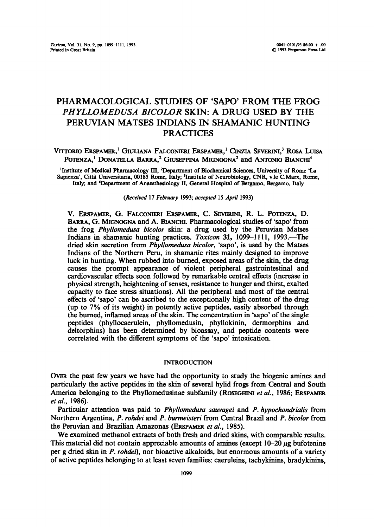# PHARMACOLOGICAL STUDIES OF 'SAPO' FROM THE FROG PHYLLOMEDUSA BICOLOR SKIN: A DRUG USED BY THE PERUVIAN MATSES INDIANS IN SHAMANIC HUNTING PRACTICES

Vittorio Erspamer,<sup>1</sup> Giuliana Falconieri Erspamer,<sup>1</sup> Cinzia Severini,<sup>3</sup> Rosa Luisa POTENZA,<sup>1</sup> DONATELLA BARRA,<sup>2</sup> GIUSEPPINA MIGNOGNA<sup>2</sup> and ANTONIO BIANCHI<sup>4</sup>

'Institute of Medical Pharmacology III, 'Department of Biochemical Sciences, University of Rome `La Sapienza', Città Universitaria, 00185 Rome, Italy; <sup>3</sup>Institute of Neurobiology, CNR, v.le C.Marx, Rome, Italy ; and 'Department of Anaesthesiology II, General Hospital of Bergamo, Bergamo, Italy

(Received 17 February 1993 ; accepted 15 April 1993)

V. ERSPAMER, G. FALCONIERI ERSPAMER, C. SEVERINI, R. L. POTENZA, D. BARRA, G. MIGNoGNA and A. BIANCHI. Pharmacological studies of `sapo' from the frog Phyllomedusa bicolor skin: a drug used by the Peruvian Matses Indians in shamanic hunting practices. Toxicon 31, 1099-1111, 1993.-The dried skin secretion from *Phyllomedusa bicolor*, 'sapo', is used by the Matses Indians of the Northern Peru, in shamanic rites mainly designed to improve luck in hunting. When rubbed into burned, exposed areas of the skin, the drug causes the prompt appearance of violent peripheral gastrointestinal and cardiovascular effects soon followed by remarkable central effects (increase in physical strength, heightening of senses, resistance to hunger and thirst, exalted capacity to face stress situations). All the peripheral and most of the central effects of 'sapo' can be ascribed to the exceptionally high content of the drug (up to 7% of its weight) in potently active peptides, easily absorbed through the burned, inflamed areas of the skin . The concentration in `sago' of the single peptides (phyllocaerulein, phyllomedusin, phyllokinin, dermorphins and deltorphins) has been determined by bioassay, and peptide contents were correlated with the different symptoms of the 'sapo' intoxication.

## **INTRODUCTION**

OvER the past few years we have had the opportunity to study the biogenic amines and particularly the active peptides in the skin of several hylid frogs from Central and South America belonging to the Phyllomedusinae subfamily (ROSEGHINI et al., 1986; ERSPAMER et al., 1986).

Particular attention was paid to Phyllomedusa sauvagei and P. hypochondrialis from Northern Argentina, P. rohdei and P. burmeisteri from Central Brazil and P. bicolor from the Peruvian and Brazilian Amazonas (ERSPAMER et al., 1985).

We examined methanol extracts of both fresh and dried skins, with comparable results. This material did not contain appreciable amounts of amines (except  $10-20 \mu$ g bufotenine per g dried skin in P. rohdei), nor bioactive alkaloids, but enormous amounts of a variety of active peptides belonging to at least seven families : caeruleins, tachykinins, bradykinins,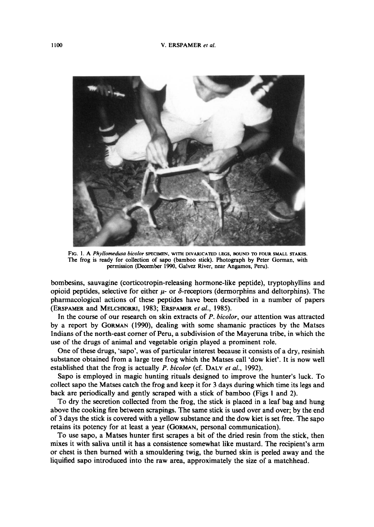

FIG. 1. A Phyllomedusa bicolor SPECIMEN, WITH DIVARICATED LEGS, BOUND TO FOUR SMALL STAKES. The frog is ready for collection of sapo (bamboo stick). Photograph by Peter Gorman, with permission (December 1990, Galvez River, near Angamos, Peru).

bombesins, sauvagine (corticotropin-releasing hormone-like peptide), tryptophyllins and opioid peptides, selective for either  $\mu$ - or  $\delta$ -receptors (dermorphins and deltorphins). The pharmacological actions of these peptides have been described in a number of papers (ERSPAMER and MELCHIORRI, 1983; ERSPAMER et al., 1985).

In the course of our research on skin extracts of P. bicolor, our attention was attracted by a report by GORMAN (1990), dealing with some shamanic practices by the Matses Indians of the north-east corner of Peru, a subdivision of the Mayeruna tribe, in which the use of the drugs of animal and vegetable origin played a prominent role.

One of these drugs, `sapo', was of particular interest because it consists of a dry, resinish substance obtained from a large tree frog which the Matses call `dow kiet'. It is now well established that the frog is actually P. bicolor (cf. DALY et al., 1992).

Sapo is employed in magic hunting rituals designed to improve the hunter's luck . To collect sapo the Matses catch the frog and keep it for 3 days during which time its legs and back are periodically and gently scraped with a stick of bamboo (Figs 1 and 2).

To dry the secretion collected from the frog, the stick is placed in a leaf bag and hung above the cooking fire between scrapings. The same stick is used over and over ; by the end of 3 days the stick is covered with a yellow substance and the dow kiet is set free . The sapo retains its potency for at least a year (GORMAN, personal communication) .

To use sapo, a Matses hunter first scrapes a bit of the dried resin from the stick, then mixes it with saliva until it has a consistence somewhat like mustard. The recipient's arm or chest is then burned with a smouldering twig, the burned skin is peeled away and the liquified sapo introduced into the raw area, approximately the size of a matchhead .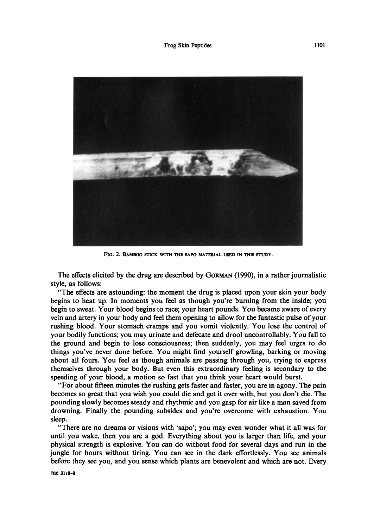

FIG. 2. BAMBOO STICK WITH THE SAPO MATERIAL USED IN THIS STUDY.

The effects elicited by the drug are described by GORMAN (1990), in a rather journalistic style, as follows:

"The effects are astounding: the moment the drug is placed upon your skin your body begins to heat up. In moments you feel as though you're burning from the inside; you begin to sweat. Your blood begins to race; your heart pounds. You became aware of every vein and artery in your body and feel them opening to allow for the fantastic pulse of your rushing blood. Your stomach cramps and you vomit violently. You lose the control of your bodily functions; you may urinate and defecate and drool uncontrollably . You fall to the ground and begin to lose consciousness; then suddenly, you may feel urges to do things you've never done before . You might find yourself growling, barking or moving about all fours. You feel as though animals are passing through you, trying to express themselves through your body. But even this extraordinary feeling is secondary to the speeding of your blood, a motion so fast that you think your heart would burst.

"For about fifteen minutes the rushing gets faster and faster, you are in agony. The pain becomes so great that you wish you could die and get it over with, but you don't die. The pounding slowly becomes steady and rhythmic and you gasp for air like a man saved from drowning. Finally the pounding subsides and you're overcome with exhaustion . You sleep.

"There are no dreams or visions with `sapo'; you may even wonder what it all was for until you wake, then you are a god. Everything about you is larger than life, and your physical strength is explosive. You can do without food for several days and run in the jungle for hours without tiring. You can see in the dark effortlessly. You see animals before they see you, and you sense which plants are benevolent and which are not. Every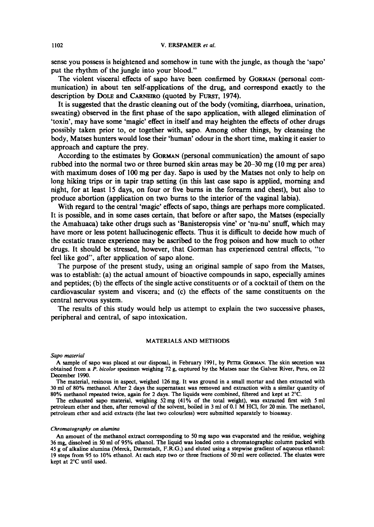sense you possess is heightened and somehow in tune with the jungle, as though the 'sapo' put the rhythm of the jungle into your blood."

The violent visceral effects of sapo have been confirmed by GORMAN (personal communication) in about ten self-applications of the drug, and correspond exactly to the description by DOLE and CARNEIRO (quoted by FURST, 1974).

It is suggested that the drastic cleaning out of the body (vomiting, diarrhoea, urination, sweating) observed in the first phase of the sapo application, with alleged elimination of `toxin', may have some `magic' effect in itself and may heighten the effects of other drugs possibly taken prior to, or together with, sapo. Among other things, by cleansing the body, Matses hunters would lose their `human' odour in the short time, making it easier to approach and capture the prey.

According to the estimates by GORMAN (personal communication) the amount of sapo rubbed into the normal two or three burned skin areas may be 20-30 mg (10 mg per area) with maximum doses of 100 mg per day. Sapo is used by the Matses not only to help on long hiking trips or in tapir trap setting (in this last case sapo is applied, morning and night, for at least 15 days, on four or five burns in the forearm and chest), but also to produce abortion (application on two burns to the interior of the vaginal labia) .

With regard to the central 'magic' effects of sapo, things are perhaps more complicated. It is possible, and in some cases certain, that before or after sapo, the Matses (especially the Amahuaca) take other drugs such as `Banisteropsis vine' or `nu-nu' snuff, which may have more or less potent hallucinogenic effects. Thus it is difficult to decide how much of the ecstatic trance experience may be ascribed to the frog poison and how much to other drugs. It should be stressed, however, that Gorman has experienced central effects, "to feel like god", after application of sapo alone.

The purpose of the present study, using an original sample of sapo from the Matses, was to establish: (a) the actual amount of bioactive compounds in sapo, especially amines and peptides; (b) the effects of the single active constituents or of a cocktail of them on the cardiovascular system and viscera; and (c) the effects of the same constituents on the central nervous system .

The results of this study would help us attempt to explain the two successive phases, peripheral and central, of sapo intoxication.

#### MATERIALS AND METHODS

#### 3apo material

A sample of sapo was placed at our disposal, in February 1991, by PETER GORMAN. The skin secretion was obtained from a P. bicolor specimen weighing 72 g, captured by the Matses near the Galvez River, Peru, on 22 December 1990.

The material, resinous in aspect, weighed 126 mg. It was ground in <sup>a</sup> small mortar and then extracted with 30 ml of 80% methanol. After 2 days the supernatant was removed and extraction with a similar quantity of 80% methanol repeated twice, again for 2 days. The liquids were combined, filtered and kept at  $2^{\circ}\text{C}$ .

The exhausted sapo material, weighing <sup>52</sup> mg (41% of the total weight), was extracted first with <sup>5</sup> ml petroleum ether and then, after removal of the solvent, boiled in <sup>3</sup> ml of 0.1 M HCI, for <sup>20</sup> min. The methanol, petroleum ether and acid extracts (the last two colourless) were submitted separately to bioassay .

#### Chromatography on alumina

An amount of the methanol extract corresponding to <sup>50</sup> mg sapo was evaporated and the residue, weighing <sup>36</sup> mg, dissolved in 50 ml of 95% ethanol. The liquid was loaded onto a chromatographic column packed with <sup>45</sup> g of alkaline alumina (Merck, Darmstadt, F.R .G.) and eluted using <sup>a</sup> stepwise gradient of aqueous ethanol: <sup>19</sup> steps from 95 to 10% ethanol. At each step two or three fractions of 50 ml were collected . The eluates were kept at 2°C until used.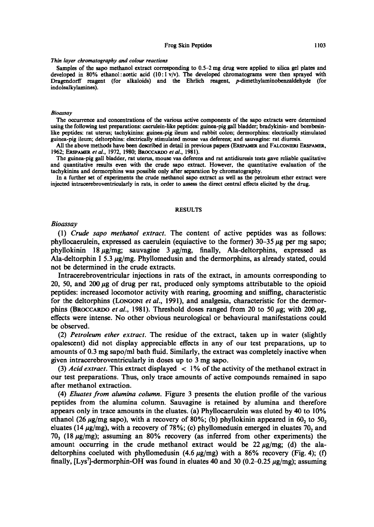#### Frog Skin Peptides 1103

#### Thin layer chromatography and colour reactions

Samples of the sapo methanol extract corresponding to 0.5-2 mg drug were applied to silica gel plates and developed in 80% ethanol : acetic acid (10 : 1 v/v). The developed chromatograms were then sprayed with Dragendorff reagent (for alkaloids) and the Ehrlich reagent, p-dimethylaminobenzaldehyde (for indolealkylamines).

## Bioassay

The occurrence and concentrations of the various active components of the sapo extracts were determined using the following test preparations: caerulein-like peptides: guinea-pig gall bladder; bradykinin- and bombesinlike peptides: rat uterus; tachykinins: guinea-pig ileum and rabbit colon; dermorphins: electrically stimulated guinea-pig ileum; deltorphins: electrically stimulated mouse vas deferens; and sauvagine: rat diuresis.

All the above methods have been described in detail in previous papers (ERSPAMER and FALCONIERI ERSPAMER, 1962; ERSPAMER et al., 1972, 1980; BROCCARDO et al., 1981).

The guinea-pig gall bladder, rat uterus, mouse vas deferens and rat antidiuresis tests gave reliable qualitative and quantitative results even with the crude sapo extract. However, the quantitative evaluation of the tachykinins and dermorphins was possible only after separation by chromatography.

In a further set of experiments the crude methanol sapo extract as well as the petroleum ether extract were injected intracerebroventricularly in rats, in order to assess the direct central effects elicited by the drug.

### RESULTS

## Bioassay

(1) Crude sapo methanol extract. The content of active peptides was as follows: phyllocaerulein, expressed as caerulein (equiactive to the former)  $30-35 \mu g$  per mg sapo; phyllokinin 18  $\mu$ g/mg; sauvagine 3  $\mu$ g/mg, finally, Ala-deltorphins, expressed as Ala-deltorphin I 5.3  $\mu$ g/mg. Phyllomedusin and the dermorphins, as already stated, could not be determined in the crude extracts.

Intracerebroventricular injections in rats of the extract, in amounts corresponding to 20, 50, and 200  $\mu$ g of drug per rat, produced only symptoms attributable to the opioid peptides: increased locomotor activity with rearing, grooming and sniffing, characteristic for the deltorphins (LONGONI et al., 1991), and analgesia, characteristic for the dermorphins (BROCCARDO et al., 1981). Threshold doses ranged from 20 to 50  $\mu$ g; with 200  $\mu$ g, effects were intense. No other obvious neurological or behavioural manifestations could be observed.

(2) Petroleum ether extract. The residue of the extract, taken up in water (slightly opalescent) did not display appreciable effects in any of our test preparations, up to amounts of 0.3 mg sapo/ml bath fluid. Similarly, the extract was completely inactive when given intracerebroventricularly in doses up to 3 mg sapo.

(3) Acid extract. This extract displayed  $\langle 1 \rangle$  of the activity of the methanol extract in our test preparations. Thus, only trace amounts of active compounds remained in sapo after methanol extraction.

(4) Eluates from alumina column. Figure 3 presents the elution profile of the various peptides from the alumina column. Sauvagine is retained by alumina and therefore appears only in trace amounts in the eluates. (a) Phyllocaerulein was eluted by 40 to 10% ethanol (26  $\mu$ g/mg sapo), with a recovery of 80%; (b) phyllokinin appeared in 60, to 50, eluates (14  $\mu$ g/mg), with a recovery of 78%; (c) phyllomedusin emerged in eluates 70, and 70<sub>3</sub> (18  $\mu$ g/mg); assuming an 80% recovery (as inferred from other experiments) the amount occurring in the crude methanol extract would be  $22 \mu g/mg$ ; (d) the aladeltorphins coeluted with phyllomedusin  $(4.6 \mu g/mg)$  with a 86% recovery (Fig. 4); (f) finally, [Lys<sup>7</sup>]-dermorphin-OH was found in eluates 40 and 30 (0.2–0.25  $\mu$ g/mg); assuming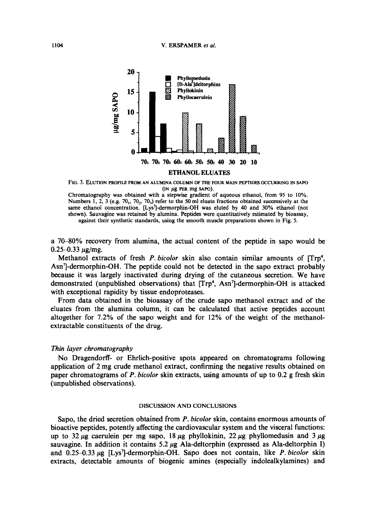

FIG. 3. ELUTION PROFILE FROM AN ALUMINA COLUMN OF THE FOUR MAIN PEPTIDES OCCURRING IN SAPO (IN  $\mu$ g PER mg SAPO).

Chromatography was obtained with a stepwise gradient of aqueous ethanol, from 95 to 10%. Numbers 1, 2, 3 (e.g. 70<sub>1</sub>, 70<sub>2</sub>, 70<sub>3</sub>) refer to the 50 ml eluate fractions obtained successively at the same ethanol concentration. [Lys']-dermorphin-OH was eluted by 40 and 30% ethanol (not shown). Sauvagine was retained by alumina. Peptides were quantitatively estimated by bioassay, against their synthetic standards, using the smooth muscle preparations shown in Fig. 5.

a 70-80% recovery from alumina, the actual content of the peptide in sapo would be  $0.25 - 0.33 \mu$ g/mg.

Methanol extracts of fresh *P. bicolor* skin also contain similar amounts of  $[Trp<sup>4</sup>]$ Asn<sup>7</sup>]-dermorphin-OH. The peptide could not be detected in the sapo extract probably because it was largely inactivated during drying of the cutaneous secretion. We have demonstrated (unpublished observations) that [Trp<sup>4</sup>, Asn<sup>7</sup>]-dermorphin-OH is attacked with exceptional rapidity by tissue endoproteases.

From data obtained in the bioassay of the crude sapo methanol extract and of the eluates from the alumina column, it can be calculated that active peptides account altogether for 7.2% of the sapo weight and for 12% of the weight of the methanolextractable constituents of the drug.

#### Thin layer chromatography

No Dragendorff- or Ehrlich-positive spots appeared on chromatograms following application of <sup>2</sup> mg crude methanol extract, confirming the negative results obtained on paper chromatograms of P. bicolor skin extracts, using amounts of up to 0.2 <sup>g</sup> fresh skin (unpublished observations) .

## DISCUSSION AND CONCLUSIONS

Sapo, the dried secretion obtained from P. bicolor skin, contains enormous amounts of bioactive peptides, potently affecting the cardiovascular system and the visceral functions: up to 32  $\mu$ g caerulein per mg sapo, 18  $\mu$ g phyllokinin, 22  $\mu$ g phyllomedusin and 3  $\mu$ g sauvagine. In addition it contains  $5.2 \mu$ g Ala-deltorphin (expressed as Ala-deltorphin I) and  $0.25-0.33 \mu$ g [Lys<sup>7</sup>]-dermorphin-OH. Sapo does not contain, like *P. bicolor* skin extracts, detectable amounts of biogenic amines (especially indolealkylamines) and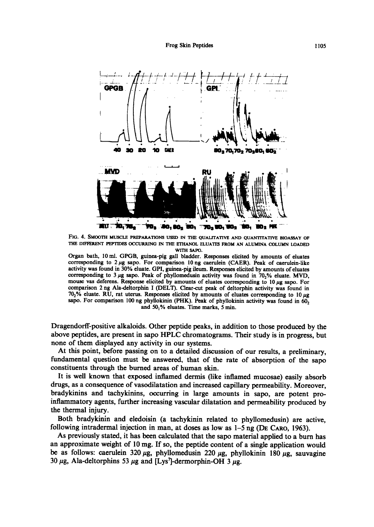

FIG. 4. SMOOTH MUSCLE PREPARATIONS USED IN THE QUALITATIVE AND QUANTITATIVE BIOASSAY OF THE DIFFERENT PEPTIDES OCCURRING IN THE ETHANOL ELUATES FROM AN ALUMINA COLUMN LOADED WITH SAPO.

Organ bath, <sup>10</sup> ml. GPGB, guinea-pig gall bladder. Responses elicited by amounts of eluates corresponding to  $2 \mu$ g sapo. For comparison 10 ng caerulein (CAER). Peak of caerulein-like activity was found in 30% eluate . GPI, guinea-pig ileum. Responses elicited by amounts of eluates corresponding to 3  $\mu$ g sapo. Peak of phyllomedusin activity was found in 70<sub>2</sub>% eluate. MVD, mouse vas deferens. Response elicited by amounts of eluates corresponding to 10 ug sapo . For comparison 2 ng Ala-deltorphin <sup>I</sup> (DELT) . Clear-cut peak of deltorphin activity was found in 70.% eluate. RU, rat uterus. Responses elicited by amounts of eluates corresponding to 10  $\mu$ g sapo. For comparison 100 ng phyllokinin (PHK). Peak of phyllokinin activity was found in  $60$ , and 50,% eluates. Time marks, 5 min.

Dragendorfl-positive alkaloids. Other peptide peaks, in addition to those produced by the above peptides, are present in sapo HPLC chromatograms. Their study is in progress, but none of them displayed any activity in our systems.

At this point, before passing on to a detailed discussion of our results, a preliminary, fundamental question must be answered, that of the rate of absorption of the sapo constituents through the burned areas of human skin.

It is well known that exposed inflamed dermis (like inflamed mucosae) easily absorb drugs, as a consequence of vasodilatation and increased capillary permeability . Moreover, bradykinins and tachykinins, occurring in large amounts in sapo, are potent proinflammatory agents, further increasing vascular dilatation and permeability produced by the thermal injury.

Both bradykinin and eledoisin (a tachykinin related to phyllomedusin) are active, following intradermal injection in man, at doses as low as 1-5 ng (DE CARO, 1963).

As previously stated, it has been calculated that the sapo material applied to a burn has an approximate weight of <sup>10</sup> mg. If so, the peptide content of <sup>a</sup> single application would be as follows: caerulein 320  $\mu$ g, phyllomedusin 220  $\mu$ g, phyllokinin 180  $\mu$ g, sauvagine 30  $\mu$ g, Ala-deltorphins 53  $\mu$ g and [Lys<sup>7</sup>]-dermorphin-OH 3  $\mu$ g.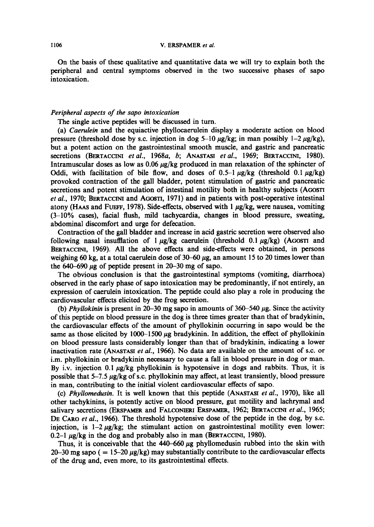On the basis of these qualitative and quantitative data we will try to explain both the peripheral and central symptoms observed in the two successive phases of sapo intoxication.

## Peripheral aspects of the sapo intoxication

The single active peptides will be discussed in turn.

(a) Caerulein and the equiactive phyllocaerulein display a moderate action on blood pressure (threshold dose by s.c. injection in dog  $5-10 \mu g/kg$ ; in man possibly  $1-2 \mu g/kg$ ), but a potent action on the gastrointestinal smooth muscle, and gastric and pancreatic secretions (BERTACCINI et al., 1968a, b; ANASTASI et al., 1969; BERTACCINI, 1980). Intramuscular doses as low as  $0.06 \mu g/kg$  produced in man relaxation of the sphincter of Oddi, with facilitation of bile flow, and doses of  $0.5-1 \mu g/kg$  (threshold  $0.1 \mu g/kg$ ) provoked contraction of the gall bladder, potent stimulation of gastric and pancreatic secretions and potent stimulation of intestinal motility both in healthy subjects (AGOSTI  $et al., 1970$ ; BERTACCINI and AGOSTI, 1971) and in patients with post-operative intestinal atony (HAAS and FUEFF, 1978). Side-effects, observed with  $1 \mu g/kg$ , were nausea, vomiting (3-10% cases), facial flush, mild tachycardia, changes in blood pressure, sweating, abdominal discomfort and urge for defecation.

Contraction of the gall bladder and increase in acid gastric secretion were observed also following nasal insufflation of  $1 \mu g/kg$  caerulein (threshold 0.1  $\mu g/kg$ ) (AGOSTI and BERTACCIM, 1969). All the above effects and side-effects were obtained, in persons weighing 60 kg, at a total caerulein dose of 30–60  $\mu$ g, an amount 15 to 20 times lower than the 640-690  $\mu$ g of peptide present in 20-30 mg of sapo.

The obvious conclusion is that the gastrointestinal symptoms (vomiting, diarrhoea) observed in the early phase of sapo intoxication may be predominantly, if not entirely, an expression of caerulein intoxication. The peptide could also play a role in producing the cardiovascular effects elicited by the frog secretion.

(b) Phyllokinin is present in  $20-30$  mg sapo in amounts of  $360-540$  µg. Since the activity of this peptide on blood pressure in the dog is three times greater than that of bradykinin, the cardiovascular effects of the amount of phyllokinin occurring in sapo would be the same as those elicited by 1000-1500  $\mu$ g bradykinin. In addition, the effect of phyllokinin on blood pressure lasts considerably longer than that of bradykinin, indicating a lower inactivation rate (ANAsTAsi et al., 1966). No data are available on the amount of s.c . or i.m. phyllokinin or bradykinin necessary to cause a fall in blood pressure in dog or man. By i.v. injection 0.1  $\mu$ g/kg phyllokinin is hypotensive in dogs and rabbits. Thus, it is possible that 5-7.5  $\mu$ g/kg of s.c. phyllokinin may affect, at least transiently, blood pressure in man, contributing to the initial violent cardiovascular effects of sapo.

(c) Phyllomedusin. It is well known that this peptide (ANASTASI et al., 1970), like all other tachykinins, is potently active on blood pressure, gut motility and lachrymal and salivary secretions (ERSPAMER and FALCONIERI ERSPAMER, 1962; BERTACCINI et al., 1965; DE CARO et al., 1966). The threshold hypotensive dose of the peptide in the dog, by s.c. injection, is  $1-2 \mu g/kg$ ; the stimulant action on gastrointestinal motility even lower:  $0.2-1 \mu$ g/kg in the dog and probably also in man (BERTACCINI, 1980).

Thus, it is conceivable that the  $440-660 \mu$ g phyllomedusin rubbed into the skin with 20-30 mg sapo ( $= 15-20 \mu g/kg$ ) may substantially contribute to the cardiovascular effects of the drug and, even more, to its gastrointestinal effects .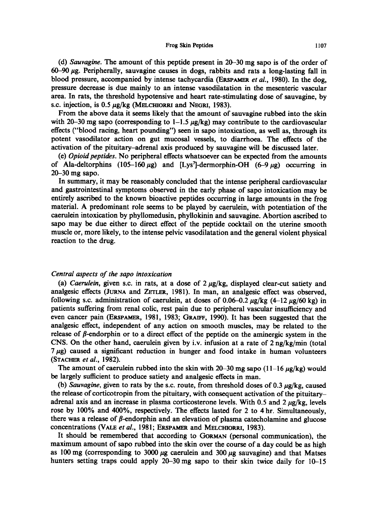Frog Skin Peptides 1107

(d) Sauvagine. The amount of this peptide present in 20-30 mg sapo is of the order of 60-90 ug. Peripherally, sauvagine causes in dogs, rabbits and rats <sup>a</sup> long-lasting fall in blood pressure, accompanied by intense tachycardia (ERSPAMER et al., 1980). In the dog, pressure decrease is due mainly to an intense vasodilatation in the mesenteric vascular area. In rats, the threshold hypotensive and heart rate-stimulating dose of sauvagine, by s.c. injection, is  $0.5 \mu g/kg$  (MELCHIORRI and NEGRI, 1983).

From the above data it seems likely that the amount of sauvagine rubbed into the skin with 20–30 mg sapo (corresponding to 1–1.5  $\mu$ g/kg) may contribute to the cardiovascular effects ("blood racing, heart pounding") seen in sapo intoxication, as well as, through its potent vasodilator action on gut mucosal vessels, to diarrhoea. The effects of the activation of the pituitary-adrenal axis produced by sauvagine will be discussed later.

(e) Opioid peptides . No peripheral effects whatsoever can be expected from the amounts of Ala-deltorphins (105-160  $\mu$ g) and [Lys<sup>7</sup>-dermorphin-OH (6-9  $\mu$ g) occurring in 20-30 mg sapo.

In summary, it may be reasonably concluded that the intense peripheral cardiovascular and gastrointestinal symptoms observed in the early phase of sapo intoxication may be entirely ascribed to the known bioactive peptides occurring in large amounts in the frog material . A predominant role seems to be played by caerulein, with potentiation of the caerulein intoxication by phyllomedusin, phyllokinin and sauvagine. Abortion ascribed to sapo may be due either to direct effect of the peptide cocktail on the uterine smooth muscle or, more likely, to the intense pelvic vasodilatation and the general violent physical reaction to the drug.

## Central aspects of the sapo intoxication

(a) Caerulein, given s.c. in rats, at a dose of  $2 \mu g/kg$ , displayed clear-cut satiety and analgesic effects (JuRNA and ZETLER, 1981). In man, an analgesic effect was observed, following s.c. administration of caerulein, at doses of 0.06–0.2  $\mu$ g/kg (4–12  $\mu$ g/60 kg) in patients suffering from renal colic, rest pain due to peripheral vascular insufficiency and even cancer pain (ERSPAMER, 1981, 1983; GRAIFF, 1990). It has been suggested that the analgesic effect, independent of any action on smooth muscles, may be related to the release of  $\beta$ -endorphin or to a direct effect of the peptide on the aminergic system in the CNS. On the other hand, caerulein given by i.v. infusion at a rate of 2 ng/kg/min (total  $7 \mu g$ ) caused a significant reduction in hunger and food intake in human volunteers (STACHER et al., 1982).

The amount of caerulein rubbed into the skin with 20-30 mg sapo (11-16  $\mu$ g/kg) would be largely sufficient to produce satiety and analgesic effects in man.

(b) Sauvagine, given to rats by the s.c. route, from threshold doses of 0.3  $\mu$ g/kg, caused the release of corticotropin from the pituitary, with consequent activation of the pituitaryadrenal axis and an increase in plasma corticosterone levels. With 0.5 and 2  $\mu$ g/kg, levels rose by 100% and 400%, respectively. The effects lasted for 2 to 4 hr. Simultaneously, there was a release of  $\beta$ -endorphin and an elevation of plasma catecholamine and glucose concentrations (VALE et al., 1981; ERSPAMER and MELCHIORRI, 1983).

It should be remembered that according to GORMAN (personal communication), the maximum amount of sapo rubbed into the skin over the course of <sup>a</sup> day could be as high as 100 mg (corresponding to 3000  $\mu$ g caerulein and 300  $\mu$ g sauvagine) and that Matses hunters setting traps could apply 20-30 mg sapo to their skin twice daily for 10-15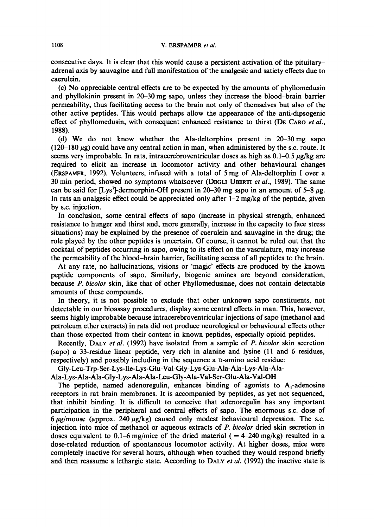consecutive days. It is clear that this would cause a persistent activation of the pituitaryadrenal axis by sauvagine and full manifestation of the analgesic and satiety effects due to caerulein.

(c) No appreciable central effects are to be expected by the amounts of phyllomedusin and phyllokinin present in 20-30 mg sapo, unless they increase the blood-brain barrier permeability, thus facilitating access to the brain not only of themselves but also of the other active peptides . This would perhaps allow the appearance of the anti-dipsogenic effect of phyllomedusin, with consequent enhanced resistance to thirst (DE CARO et al., 1988).

(d) We do not know whether the Ala-deltorphins present in 20-30 mg sapo  $(120-180 \mu g)$  could have any central action in man, when administered by the s.c. route. It seems very improbable. In rats, intracerebroventricular doses as high as  $0.1-0.5 \mu g/kg$  are required to elicit an increase in locomotor activity and other behavioural changes (ERSPAMER, 1992). Volunteers, infused with a total of <sup>5</sup> mg of Ala-deltorphin <sup>I</sup> over <sup>a</sup> 30 min period, showed no symptoms whatsoever (DEGLI UBERTI et al., 1989). The same can be said for [Lys<sup>7</sup>]-dermorphin-OH present in 20–30 mg sapo in an amount of 5–8  $\mu$ g. In rats an analgesic effect could be appreciated only after  $1-2$  mg/kg of the peptide, given by s.c. injection.

In conclusion, some central effects of sapo (increase in physical strength, enhanced resistance to hunger and thirst and, more generally, increase in the capacity to face stress situations) may be explained by the presence of caerulein and sauvagine in the drug; the role played by the other peptides is uncertain. Of course, it cannot be ruled out that the cocktail of peptides occurring in sapo, owing to its effect on the vasculature, may increase the permeability of the blood-brain barrier, facilitating access of all peptides to the brain.

At any rate, no hallucinations, visions or `magic' effects are produced by the known peptide components of sapo. Similarly, biogenic amines are beyond consideration, because P. bicolor skin, like that of other Phyllomedusinae, does not contain detectable amounts of these compounds.

In theory, it is not possible to exclude that other unknown sapo constituents, not detectable in our bioassay procedures, display some central effects in man. This, however, seems highly improbable because intracerebroventricular injections of sapo (methanol and petroleum ether extracts) in rats did not produce neurological or behavioural effects other than those expected from their content in known peptides, especially opioid peptides .

Recently, DALY et al. (1992) have isolated from a sample of P. bicolor skin secretion (sapo) a 33-residue linear peptide, very rich in alanine and lysine (11 and 6 residues, respectively) and possibly including in the sequence a D-amino acid residue:

Gly-Leu-Trp-Ser-Lys-Ile-Lys-Glu-Val-Gly-Lys-Glu-Ala-Ala-Lys-Ala-Ala-

Ala-Lys-Ala-Ala-Gly-Lys-Ala-Ala-Leu-Gly-Ala-Val-Ser-Glu-Ala-Val-OH

The peptide, named adenoregulin, enhances binding of agonists to A,-adenosine receptors in rat brain membranes. It is accompanied by peptides, as yet not sequenced, that inhibit binding. It is difficult to conceive that adenoregulin has any important participation in the peripheral and central effects of sapo. The enormous s.c . dose of  $6 \mu g/m$ ouse (approx. 240  $\mu g/kg$ ) caused only modest behavioural depression. The s.c. injection into mice of methanol or aqueous extracts of P. bicolor dried skin secretion in doses equivalent to 0.1–6 mg/mice of the dried material (  $=$  4–240 mg/kg) resulted in a dose-related reduction of spontaneous locomotor activity . At higher doses, mice were completely inactive for several hours, although when touched they would respond briefly and then reassume a lethargic state. According to DALY et al. (1992) the inactive state is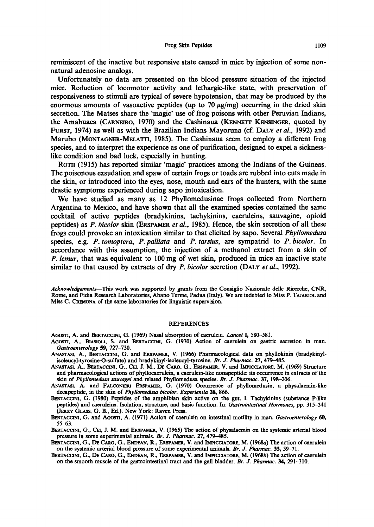reminiscent of the inactive but responsive state caused in mice by injection of some nonnatural adenosine analogs.

Unfortunately no data are presented on the blood pressure situation of the injected mice. Reduction of locomotor activity and lethargic-like state, with preservation of responsiveness to stimuli are typical of severe hypotension, that may be produced by the enormous amounts of vasoactive peptides (up to 70  $\mu$ g/mg) occurring in the dried skin secretion. The Matses share the 'magic' use of frog poisons with other Peruvian Indians, the Amahuaca (CARNEIRO, 1970) and the Cashinaua (KENNEIT KENSINGER, quoted by FURST, 1974) as well as with the Brazilian Indians Mayoruna (cf. DALY et al., 1992) and Marubo (MONTAGNER-MELATTI, 1985). The Cashinaua seem to employ a different frog species, and to interpret the experience as one of purification, designed to expel a sicknesslike condition and bad luck, especially in hunting.

ROTH (1915) has reported similar 'magic' practices among the Indians of the Guineas. The poisonous exsudation and spaw of certain frogs or toads are rubbed into cuts made in the skin, or introduced into the eyes, nose, mouth and ears of the hunters, with the same drastic symptoms experienced during sapo intoxication.

We have studied as many as 12 Phyllomedusinae frogs collected from Northern Argentina to Mexico, and have shown that all the examined species contained the same cocktail of active peptides (bradykinins, tachykinins, caeruleins, sauvagine, opioid peptides) as P. bicolor skin (ERSPAMER et al., 1985). Hence, the skin secretion of all these frogs could provoke an intoxication similar to that elicited by sapo. Several *Phyllomedusa* species, e.g. P. tomoptera, P. palliata and P. tarsius, are sympatrid to P. bicolor. In accordance with this assumption, the injection of a methanol extract from a skin of P. lemur, that was equivalent to 100 mg of wet skin, produced in mice an inactive state similar to that caused by extracts of dry  $P$ . bicolor secretion (DALY et al., 1992).

Acknowledgements-This work was supported by grants from the Consiglio Nazionale delle Ricerche, CNR, Rome, and Fidia Research Laboratories, Abano Terme, Padua (Italy) . We are indebted to Miss P. TAJARIOL and Miss C. CREMONA of the same laboratories for linguistic supervision .

#### REFERENCES

AGOSTI, A. and BERTACCINI, G. (1969) Nasal absorption of caerulein. Lancet I, 580-581.

- AGosTI, A., BIASIOLI, S. and BERTACCINI, G. (1970) Action of caerulein on gastric secretion in man. Gastroenterology 59, 727-730.
- ANASTASI, A., BERTACCINI, G. and ERSPAMER, V. (1966) Pharmacological data on phyllokinin (bradykinylisoleucyl-tyrosine-O-sulfate) and bradykinyl-isoleucyl-tyrosine. Br . J. Pharmac. 27, 479-485.
- ANASTASI, A., BERTACCINI, G., CEI, J. M., DE CARO, G., ERSPAMER, V. and IMPICCIATORE, M. (1969) Structure and pharmacological actions of phyllocaerulein, a caerulein-like nonapeptide: its occurrence in extracts of the skin of Phyllomedusa sauvagei and related Phyllomedusa species. Br. J. Pharmac. 37, 198-206.
- ANASTASI, A. and FALCONIERI ERSPAMER, G. (1970) Occurrence of phyllomedusin, a physalaemin-like decapeptide, in the skin of Phyllomedusa bicolor. Experientia 26, 866.
- BERTACCIm, G. (1980) Peptides of the amphibian skin active on the gut. 1. Tachykinins (substance P-like peptides) and caeruleins. Isolation, structure, and basic function. In: Gastrointestinal Hormones, pp. 315-341 (JERZY GLAss, G. B., Ed.) . New York: Raven Press .
- BERTACCINI, G. and AGOSTI, A. (1971) Action of caerulein on intestinal motility in man. Gastroenterology 60, 55–63.
- 55-63.<br>BERTACCINI, G., CEI, J. M. and ERSPAMER, V. (1965) The action of physalaemin on the systemic arterial blood pressure in some experimental animals. Br. J. Pharmac. 27, 479-485.
- BERTACCINI, G., DE CARO, G., ENDEAN, R., ERSPAMER, V. and IMPICCIATORE, M. (1968a) The action of caerulein on the systemic arterial blood pressure of some experimental animals. Br . J. Pharmac. 33, 59-71.
- BERTACCINI, G., DE CARO, G., ENDEAN, R., ERSPAMER, V. and IMPICCIATORE, M. (1968b) The action of caerulein on the smooth muscle of the gastrointestinal tract and the gall bladder. Br . J. Pharmac. 34, 291-310.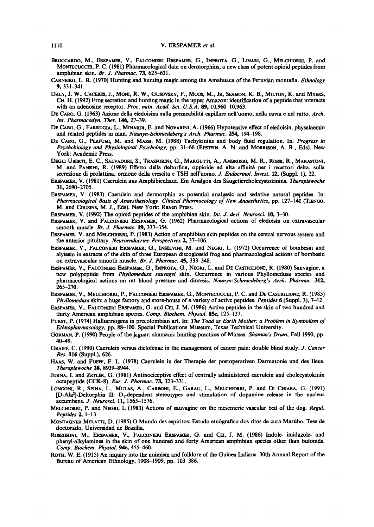- BROCCARDO, M., ERSPAMER, V., FALCONIERI ERSPAMER, G., IMPROTA, G., LINARI, G., MELCHIORRI, P. and MoNTEcuccm, P. C. (1981) Pharmacological data on dermorphins, <sup>a</sup> new class of potent opioid peptides from amphibian skin. Br. J. Pharmac. 73, 625-631.
- CARNEIRO, L. R. (1970) Hunting and hunting magic among the Amahuaca of the Peruvian montaña. Ethnology 9,331-341.
- DALY, J. W., CACERES, J., MoNI, R. W., GusovsgY, F., Moos, M., JR, SEAMON, K. B., MILTON, K. and MYERS, CH. H. (1992) Frog secretion and hunting magic in the upper Amazon: identification of <sup>a</sup> peptide that interacts with an adenosine receptor. Proc. natn. Acad. Sci. U.S.A. 89, 10,960-10,963.
- DE CARO, G. (1963) Azione della eledoisina sulla permeabilità capillare nell'uomo, nella cavia e nel ratto. Arch. Int. Pharmacodyn. Ther. 146, 27-39.
- DE CARO, G., FARRUGIA, L., MINARDI, E. and NOVARINI, A. (1966) Hypotensive effect of eledoisin, physalaemin and related peptides in man. Naunyn-Schmiedeberg's Arch. Pharmac. 254, 194-198.
- DE CARO, G., PERFUMI, M. and MASSI, M. (1988) Tachykinins and body fluid regulation. In: *Progress in* Psychobiology and Physiological Psychology, pp. 31-66 (EPSTEIN, A. N. and MORRISON, A. R., Eds). New York: Academic Press.
- DEGLI UBERTI, E. C., SALVADORI, S., TRASFORINI, G., MARGUTTI, A., AMBROSIO, M. R., ROSSI, R., MARASTONI, M. and PANSIM, R. (1989) Effetto della deltorfina, oppioide ad alta afflniti per <sup>i</sup> recettori delta, sulla secrezione di prolattina, ormone della crescita e TSH nell'uomo. J. Endocrinol. Invest. 12, (Suppl. 1), 22.
- ERsPAmER, V. (1981) Caerulein sus Amphibienhaut. Ein Analgon des Siugetiercholezystokinins. Therapiewoche 31, 2690-2705.
- ERSPAMER, V. (1983) Caerulein and dermorphin as potential analgesic and sedative natural peptides. In: Pharmacological Basis of Anaesthesiology . Clinical Pharmacology of New Anaesthetics, pp. 127-140 (TIENGO, M. and Cousins, M. J., Eds). New York: Raven Press.
- ERSPAMER, V. (1992) The opioid peptides of the amphibian skin. Int. J. devl. Neurosci. 10, 3-30.
- ERSPAMER, V. and FALCONIERI ERSPAMER, G. (1962) Pharmacological actions of eledoisin on extravascular smooth muscle. Br. J. Pharmac. 19, 337-354.
- ERSPAMER, V. and MELCHIORRI, P. (1983) Action of amphibian skin peptides on the central nervous system and the anterior pituitary. Neuroendocrine Perspectives 2, 37-106.
- ERSPAMER, V., FALCONIERI ERSPAMER, G., INSELVINI, M. and NEGRI, L. (1972) Occurrence of bombesin and alytesin in extracts of the skin of three European discoglossid frog and pharmacological actions of bombesin on extravascular smooth muscle . Br. J. Pharmac. 45, 333-348.
- ERsPAmER, V., FALCONIERI ERSPAMER, G., IMPROTA, G., NEGRI, L. and DE CASIIGLIONE, R. (1980) Sauvagine, <sup>a</sup> new polypeptide from *Phyllomedusa sauvagei* skin. Occurrence in various Phyllomedusa species and pharmacological actions on rat blood pressure and diuresis. Naunyn-Schmiedeberg's Arch. Pharmac. 312, 265-270.
- ERSPAMER, V., MELCHIORRI, P., FALCONIERI ERSPAMER, G., MONTECUCCHI, P. C. and DE CASTIGLIONE, R. (1985) Phyllomedusa skin: a huge factory and store-house of a variety of active peptides. Peptides 6 (Suppl. 3),  $7-12$ .
- ERSPAMER, V., FALCONIERI ERSPAMER, G. and CEI, J. M. (1986) Active peptides in the skin of two hundred and thirty American amphibian species. Comp. Biochem. Physiol. 85c, 125-137.
- FURST, P. (1974) Hallucinogens in precolombian art. In: The Toad as Earth Mother: a Problem in Symbolism of Ethnopharmacology, pp. 88-100. Special Publications Museum, Texas Technical University.
- GORMAN, P. (1990) People of the jaguar: shamanic hunting practices of Matses. Shaman's Drum, Fall 1990, pp. 4049.
- GRAIFF, C. (1990) Caerulein versus diclofenac in the management of cancer pain: double blind study. J. Cancer Res. 116 (Suppl.), 626.
- HAAS, W. and FuEFF, F. L. (1978) Caerulein in der Therapie der postoperativen Darmatonie and des Ileus. Therapiewoche 28, 8939-8944.
- JURNA, I. and ZETLER, G. (1981) Antinociceptive effect of centrally administered caerulein and cholecystokinin octapeptide (CCK-8). Eur. J. Pharmac. 73, 323-331 .
- LoNGoNI, R., SPINA, L., MuLAs, A., CARBONI, E., GARAu, L., MELcinoRRI, P. and DI CIüARA, G. (1991) [D-Alai]-Deltorphin 11: D,-dependent stereotypes and stimulation of dopamine release in the nucleus accumbens. J. Neurosci. 11, 1565-1576.
- MELCMORRI, P. and NEGRI, L (1983) Actions of sauvagine on the mesenteric vascular bed of the dog. Regul. Peptides  $2, 1-13$ .
- MONTAGNER-MELATn, D. (1985) O Mundodes espiritos: Estudo etn6grafico dos ritos de curs Marfibo. Tese de doctorsdo, Universidad de Brasilia.
- ROSEGHINI, M., ERSPAMER, V., FALCONIERI ERSPAMER, G. and CEI, J. M. (1986) Indole- imidazole- and phenyl-alkylamines in the skin of one hundred and forty American amphibian species other than bufonids. Comp. Biochem. Physiol. 94c, 455-460.
- ROTH, W. E. (1915) An inquiry into the animism and folklore of the Guinea Indians. 30th Annual Report of the Bureau of American Ethnology, 1908-1909, pp. 103-386.